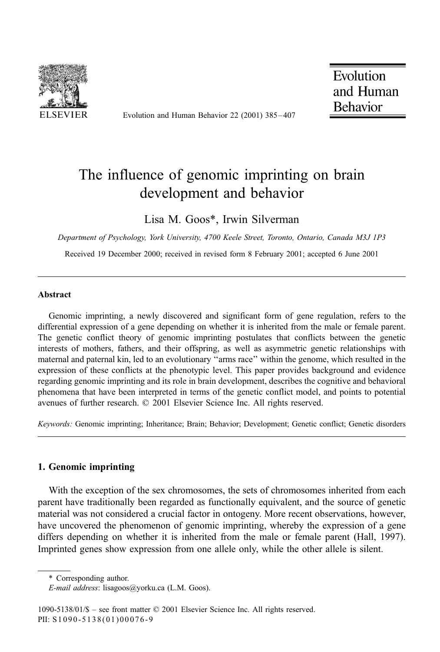

Evolution and Human Behavior 22 (2001) 385 – 407

Evolution and Human **Behavior** 

# The influence of genomic imprinting on brain development and behavior

Lisa M. Goos\*, Irwin Silverman

Department of Psychology, York University, 4700 Keele Street, Toronto, Ontario, Canada M3J 1P3

Received 19 December 2000; received in revised form 8 February 2001; accepted 6 June 2001

## Abstract

Genomic imprinting, a newly discovered and significant form of gene regulation, refers to the differential expression of a gene depending on whether it is inherited from the male or female parent. The genetic conflict theory of genomic imprinting postulates that conflicts between the genetic interests of mothers, fathers, and their offspring, as well as asymmetric genetic relationships with maternal and paternal kin, led to an evolutionary ''arms race'' within the genome, which resulted in the expression of these conflicts at the phenotypic level. This paper provides background and evidence regarding genomic imprinting and its role in brain development, describes the cognitive and behavioral phenomena that have been interpreted in terms of the genetic conflict model, and points to potential avenues of further research.  $\oslash$  2001 Elsevier Science Inc. All rights reserved.

Keywords: Genomic imprinting; Inheritance; Brain; Behavior; Development; Genetic conflict; Genetic disorders

# 1. Genomic imprinting

With the exception of the sex chromosomes, the sets of chromosomes inherited from each parent have traditionally been regarded as functionally equivalent, and the source of genetic material was not considered a crucial factor in ontogeny. More recent observations, however, have uncovered the phenomenon of genomic imprinting, whereby the expression of a gene differs depending on whether it is inherited from the male or female parent (Hall, 1997). Imprinted genes show expression from one allele only, while the other allele is silent.

\* Corresponding author.

E-mail address: lisagoos@yorku.ca (L.M. Goos).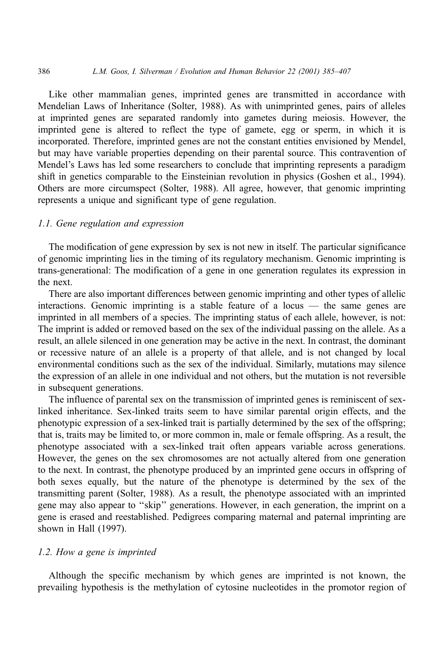Like other mammalian genes, imprinted genes are transmitted in accordance with Mendelian Laws of Inheritance (Solter, 1988). As with unimprinted genes, pairs of alleles at imprinted genes are separated randomly into gametes during meiosis. However, the imprinted gene is altered to reflect the type of gamete, egg or sperm, in which it is incorporated. Therefore, imprinted genes are not the constant entities envisioned by Mendel, but may have variable properties depending on their parental source. This contravention of Mendel's Laws has led some researchers to conclude that imprinting represents a paradigm shift in genetics comparable to the Einsteinian revolution in physics (Goshen et al., 1994). Others are more circumspect (Solter, 1988). All agree, however, that genomic imprinting represents a unique and significant type of gene regulation.

#### 1.1. Gene regulation and expression

The modification of gene expression by sex is not new in itself. The particular significance of genomic imprinting lies in the timing of its regulatory mechanism. Genomic imprinting is trans-generational: The modification of a gene in one generation regulates its expression in the next.

There are also important differences between genomic imprinting and other types of allelic interactions. Genomic imprinting is a stable feature of a locus — the same genes are imprinted in all members of a species. The imprinting status of each allele, however, is not: The imprint is added or removed based on the sex of the individual passing on the allele. As a result, an allele silenced in one generation may be active in the next. In contrast, the dominant or recessive nature of an allele is a property of that allele, and is not changed by local environmental conditions such as the sex of the individual. Similarly, mutations may silence the expression of an allele in one individual and not others, but the mutation is not reversible in subsequent generations.

The influence of parental sex on the transmission of imprinted genes is reminiscent of sexlinked inheritance. Sex-linked traits seem to have similar parental origin effects, and the phenotypic expression of a sex-linked trait is partially determined by the sex of the offspring; that is, traits may be limited to, or more common in, male or female offspring. As a result, the phenotype associated with a sex-linked trait often appears variable across generations. However, the genes on the sex chromosomes are not actually altered from one generation to the next. In contrast, the phenotype produced by an imprinted gene occurs in offspring of both sexes equally, but the nature of the phenotype is determined by the sex of the transmitting parent (Solter, 1988). As a result, the phenotype associated with an imprinted gene may also appear to ''skip'' generations. However, in each generation, the imprint on a gene is erased and reestablished. Pedigrees comparing maternal and paternal imprinting are shown in Hall (1997).

## 1.2. How a gene is imprinted

Although the specific mechanism by which genes are imprinted is not known, the prevailing hypothesis is the methylation of cytosine nucleotides in the promotor region of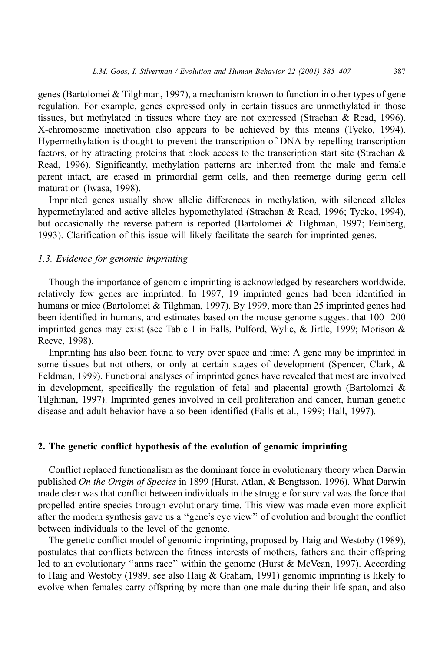genes (Bartolomei & Tilghman, 1997), a mechanism known to function in other types of gene regulation. For example, genes expressed only in certain tissues are unmethylated in those tissues, but methylated in tissues where they are not expressed (Strachan & Read, 1996). X-chromosome inactivation also appears to be achieved by this means (Tycko, 1994). Hypermethylation is thought to prevent the transcription of DNA by repelling transcription factors, or by attracting proteins that block access to the transcription start site (Strachan  $\&$ Read, 1996). Significantly, methylation patterns are inherited from the male and female parent intact, are erased in primordial germ cells, and then reemerge during germ cell maturation (Iwasa, 1998).

Imprinted genes usually show allelic differences in methylation, with silenced alleles hypermethylated and active alleles hypomethylated (Strachan & Read, 1996; Tycko, 1994), but occasionally the reverse pattern is reported (Bartolomei & Tilghman, 1997; Feinberg, 1993). Clarification of this issue will likely facilitate the search for imprinted genes.

## 1.3. Evidence for genomic imprinting

Though the importance of genomic imprinting is acknowledged by researchers worldwide, relatively few genes are imprinted. In 1997, 19 imprinted genes had been identified in humans or mice (Bartolomei & Tilghman, 1997). By 1999, more than 25 imprinted genes had been identified in humans, and estimates based on the mouse genome suggest that 100–200 imprinted genes may exist (see Table 1 in Falls, Pulford, Wylie, & Jirtle, 1999; Morison & Reeve, 1998).

Imprinting has also been found to vary over space and time: A gene may be imprinted in some tissues but not others, or only at certain stages of development (Spencer, Clark, & Feldman, 1999). Functional analyses of imprinted genes have revealed that most are involved in development, specifically the regulation of fetal and placental growth (Bartolomei  $\&$ Tilghman, 1997). Imprinted genes involved in cell proliferation and cancer, human genetic disease and adult behavior have also been identified (Falls et al., 1999; Hall, 1997).

## 2. The genetic conflict hypothesis of the evolution of genomic imprinting

Conflict replaced functionalism as the dominant force in evolutionary theory when Darwin published *On the Origin of Species* in 1899 (Hurst, Atlan, & Bengtsson, 1996). What Darwin made clear was that conflict between individuals in the struggle for survival was the force that propelled entire species through evolutionary time. This view was made even more explicit after the modern synthesis gave us a ''gene's eye view'' of evolution and brought the conflict between individuals to the level of the genome.

The genetic conflict model of genomic imprinting, proposed by Haig and Westoby (1989), postulates that conflicts between the fitness interests of mothers, fathers and their offspring led to an evolutionary ''arms race'' within the genome (Hurst & McVean, 1997). According to Haig and Westoby (1989, see also Haig & Graham, 1991) genomic imprinting is likely to evolve when females carry offspring by more than one male during their life span, and also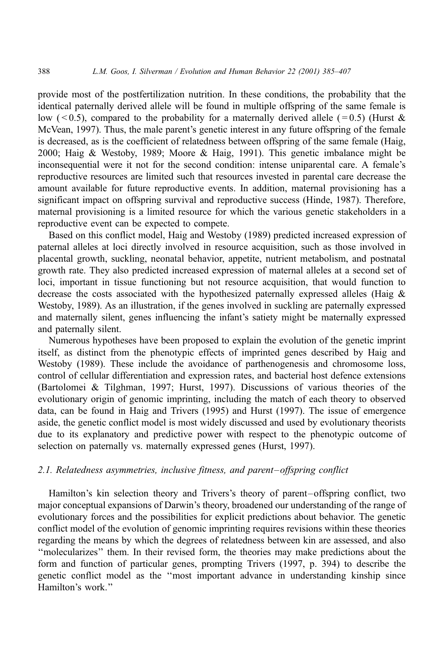provide most of the postfertilization nutrition. In these conditions, the probability that the identical paternally derived allele will be found in multiple offspring of the same female is low ( $0.5$ ), compared to the probability for a maternally derived allele ( $= 0.5$ ) (Hurst & McVean, 1997). Thus, the male parent's genetic interest in any future offspring of the female is decreased, as is the coefficient of relatedness between offspring of the same female (Haig, 2000; Haig & Westoby, 1989; Moore & Haig, 1991). This genetic imbalance might be inconsequential were it not for the second condition: intense uniparental care. A female's reproductive resources are limited such that resources invested in parental care decrease the amount available for future reproductive events. In addition, maternal provisioning has a significant impact on offspring survival and reproductive success (Hinde, 1987). Therefore, maternal provisioning is a limited resource for which the various genetic stakeholders in a reproductive event can be expected to compete.

Based on this conflict model, Haig and Westoby (1989) predicted increased expression of paternal alleles at loci directly involved in resource acquisition, such as those involved in placental growth, suckling, neonatal behavior, appetite, nutrient metabolism, and postnatal growth rate. They also predicted increased expression of maternal alleles at a second set of loci, important in tissue functioning but not resource acquisition, that would function to decrease the costs associated with the hypothesized paternally expressed alleles (Haig  $\&$ Westoby, 1989). As an illustration, if the genes involved in suckling are paternally expressed and maternally silent, genes influencing the infant's satiety might be maternally expressed and paternally silent.

Numerous hypotheses have been proposed to explain the evolution of the genetic imprint itself, as distinct from the phenotypic effects of imprinted genes described by Haig and Westoby (1989). These include the avoidance of parthenogenesis and chromosome loss, control of cellular differentiation and expression rates, and bacterial host defence extensions (Bartolomei & Tilghman, 1997; Hurst, 1997). Discussions of various theories of the evolutionary origin of genomic imprinting, including the match of each theory to observed data, can be found in Haig and Trivers (1995) and Hurst (1997). The issue of emergence aside, the genetic conflict model is most widely discussed and used by evolutionary theorists due to its explanatory and predictive power with respect to the phenotypic outcome of selection on paternally vs. maternally expressed genes (Hurst, 1997).

# 2.1. Relatedness asymmetries, inclusive fitness, and parent–offspring conflict

Hamilton's kin selection theory and Trivers's theory of parent–offspring conflict, two major conceptual expansions of Darwin's theory, broadened our understanding of the range of evolutionary forces and the possibilities for explicit predictions about behavior. The genetic conflict model of the evolution of genomic imprinting requires revisions within these theories regarding the means by which the degrees of relatedness between kin are assessed, and also ''molecularizes'' them. In their revised form, the theories may make predictions about the form and function of particular genes, prompting Trivers (1997, p. 394) to describe the genetic conflict model as the ''most important advance in understanding kinship since Hamilton's work.''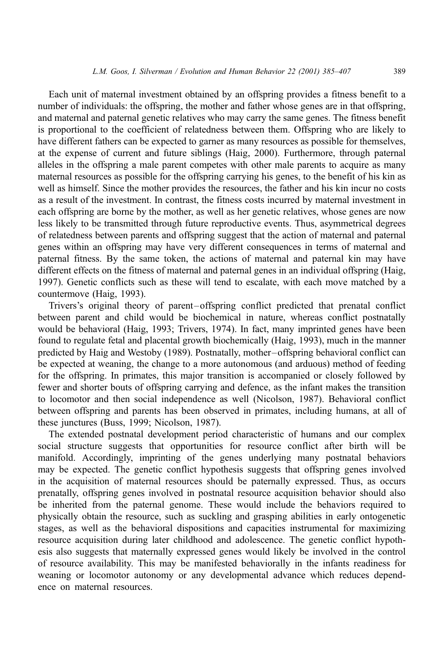Each unit of maternal investment obtained by an offspring provides a fitness benefit to a number of individuals: the offspring, the mother and father whose genes are in that offspring, and maternal and paternal genetic relatives who may carry the same genes. The fitness benefit is proportional to the coefficient of relatedness between them. Offspring who are likely to have different fathers can be expected to garner as many resources as possible for themselves, at the expense of current and future siblings (Haig, 2000). Furthermore, through paternal alleles in the offspring a male parent competes with other male parents to acquire as many maternal resources as possible for the offspring carrying his genes, to the benefit of his kin as well as himself. Since the mother provides the resources, the father and his kin incur no costs as a result of the investment. In contrast, the fitness costs incurred by maternal investment in each offspring are borne by the mother, as well as her genetic relatives, whose genes are now less likely to be transmitted through future reproductive events. Thus, asymmetrical degrees of relatedness between parents and offspring suggest that the action of maternal and paternal genes within an offspring may have very different consequences in terms of maternal and paternal fitness. By the same token, the actions of maternal and paternal kin may have different effects on the fitness of maternal and paternal genes in an individual offspring (Haig, 1997). Genetic conflicts such as these will tend to escalate, with each move matched by a countermove (Haig, 1993).

Trivers's original theory of parent –offspring conflict predicted that prenatal conflict between parent and child would be biochemical in nature, whereas conflict postnatally would be behavioral (Haig, 1993; Trivers, 1974). In fact, many imprinted genes have been found to regulate fetal and placental growth biochemically (Haig, 1993), much in the manner predicted by Haig and Westoby (1989). Postnatally, mother–offspring behavioral conflict can be expected at weaning, the change to a more autonomous (and arduous) method of feeding for the offspring. In primates, this major transition is accompanied or closely followed by fewer and shorter bouts of offspring carrying and defence, as the infant makes the transition to locomotor and then social independence as well (Nicolson, 1987). Behavioral conflict between offspring and parents has been observed in primates, including humans, at all of these junctures (Buss, 1999; Nicolson, 1987).

The extended postnatal development period characteristic of humans and our complex social structure suggests that opportunities for resource conflict after birth will be manifold. Accordingly, imprinting of the genes underlying many postnatal behaviors may be expected. The genetic conflict hypothesis suggests that offspring genes involved in the acquisition of maternal resources should be paternally expressed. Thus, as occurs prenatally, offspring genes involved in postnatal resource acquisition behavior should also be inherited from the paternal genome. These would include the behaviors required to physically obtain the resource, such as suckling and grasping abilities in early ontogenetic stages, as well as the behavioral dispositions and capacities instrumental for maximizing resource acquisition during later childhood and adolescence. The genetic conflict hypothesis also suggests that maternally expressed genes would likely be involved in the control of resource availability. This may be manifested behaviorally in the infants readiness for weaning or locomotor autonomy or any developmental advance which reduces dependence on maternal resources.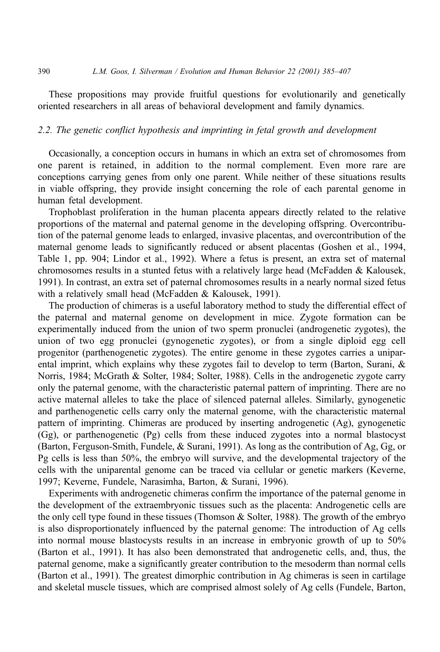These propositions may provide fruitful questions for evolutionarily and genetically oriented researchers in all areas of behavioral development and family dynamics.

## 2.2. The genetic conflict hypothesis and imprinting in fetal growth and development

Occasionally, a conception occurs in humans in which an extra set of chromosomes from one parent is retained, in addition to the normal complement. Even more rare are conceptions carrying genes from only one parent. While neither of these situations results in viable offspring, they provide insight concerning the role of each parental genome in human fetal development.

Trophoblast proliferation in the human placenta appears directly related to the relative proportions of the maternal and paternal genome in the developing offspring. Overcontribution of the paternal genome leads to enlarged, invasive placentas, and overcontribution of the maternal genome leads to significantly reduced or absent placentas (Goshen et al., 1994, Table 1, pp. 904; Lindor et al., 1992). Where a fetus is present, an extra set of maternal chromosomes results in a stunted fetus with a relatively large head (McFadden & Kalousek, 1991). In contrast, an extra set of paternal chromosomes results in a nearly normal sized fetus with a relatively small head (McFadden & Kalousek, 1991).

The production of chimeras is a useful laboratory method to study the differential effect of the paternal and maternal genome on development in mice. Zygote formation can be experimentally induced from the union of two sperm pronuclei (androgenetic zygotes), the union of two egg pronuclei (gynogenetic zygotes), or from a single diploid egg cell progenitor (parthenogenetic zygotes). The entire genome in these zygotes carries a uniparental imprint, which explains why these zygotes fail to develop to term (Barton, Surani,  $\&$ Norris, 1984; McGrath & Solter, 1984; Solter, 1988). Cells in the androgenetic zygote carry only the paternal genome, with the characteristic paternal pattern of imprinting. There are no active maternal alleles to take the place of silenced paternal alleles. Similarly, gynogenetic and parthenogenetic cells carry only the maternal genome, with the characteristic maternal pattern of imprinting. Chimeras are produced by inserting androgenetic (Ag), gynogenetic (Gg), or parthenogenetic (Pg) cells from these induced zygotes into a normal blastocyst (Barton, Ferguson-Smith, Fundele, & Surani, 1991). As long as the contribution of Ag, Gg, or Pg cells is less than 50%, the embryo will survive, and the developmental trajectory of the cells with the uniparental genome can be traced via cellular or genetic markers (Keverne, 1997; Keverne, Fundele, Narasimha, Barton, & Surani, 1996).

Experiments with androgenetic chimeras confirm the importance of the paternal genome in the development of the extraembryonic tissues such as the placenta: Androgenetic cells are the only cell type found in these tissues (Thomson & Solter, 1988). The growth of the embryo is also disproportionately influenced by the paternal genome: The introduction of Ag cells into normal mouse blastocysts results in an increase in embryonic growth of up to 50% (Barton et al., 1991). It has also been demonstrated that androgenetic cells, and, thus, the paternal genome, make a significantly greater contribution to the mesoderm than normal cells (Barton et al., 1991). The greatest dimorphic contribution in Ag chimeras is seen in cartilage and skeletal muscle tissues, which are comprised almost solely of Ag cells (Fundele, Barton,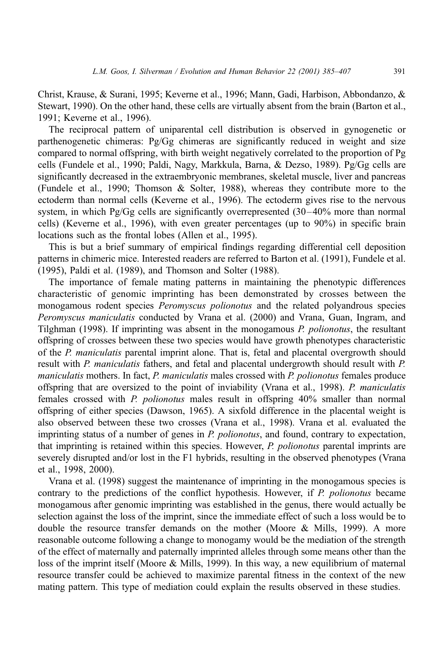Christ, Krause, & Surani, 1995; Keverne et al., 1996; Mann, Gadi, Harbison, Abbondanzo, & Stewart, 1990). On the other hand, these cells are virtually absent from the brain (Barton et al., 1991; Keverne et al., 1996).

The reciprocal pattern of uniparental cell distribution is observed in gynogenetic or parthenogenetic chimeras:  $Pg/Gg$  chimeras are significantly reduced in weight and size compared to normal offspring, with birth weight negatively correlated to the proportion of Pg cells (Fundele et al., 1990; Paldi, Nagy, Markkula, Barna, & Dezso, 1989). Pg/Gg cells are significantly decreased in the extraembryonic membranes, skeletal muscle, liver and pancreas (Fundele et al., 1990; Thomson & Solter, 1988), whereas they contribute more to the ectoderm than normal cells (Keverne et al., 1996). The ectoderm gives rise to the nervous system, in which Pg/Gg cells are significantly overrepresented (30–40% more than normal cells) (Keverne et al., 1996), with even greater percentages (up to 90%) in specific brain locations such as the frontal lobes (Allen et al., 1995).

This is but a brief summary of empirical findings regarding differential cell deposition patterns in chimeric mice. Interested readers are referred to Barton et al. (1991), Fundele et al. (1995), Paldi et al. (1989), and Thomson and Solter (1988).

The importance of female mating patterns in maintaining the phenotypic differences characteristic of genomic imprinting has been demonstrated by crosses between the monogamous rodent species *Peromyscus polionotus* and the related polyandrous species Peromyscus maniculatis conducted by Vrana et al. (2000) and Vrana, Guan, Ingram, and Tilghman (1998). If imprinting was absent in the monogamous *P. polionotus*, the resultant offspring of crosses between these two species would have growth phenotypes characteristic of the P. maniculatis parental imprint alone. That is, fetal and placental overgrowth should result with P. maniculatis fathers, and fetal and placental undergrowth should result with P. maniculatis mothers. In fact, P. maniculatis males crossed with P. polionotus females produce offspring that are oversized to the point of inviability (Vrana et al., 1998). P. maniculatis females crossed with P. polionotus males result in offspring 40% smaller than normal offspring of either species (Dawson, 1965). A sixfold difference in the placental weight is also observed between these two crosses (Vrana et al., 1998). Vrana et al. evaluated the imprinting status of a number of genes in P. polionotus, and found, contrary to expectation, that imprinting is retained within this species. However, P. polionotus parental imprints are severely disrupted and/or lost in the F1 hybrids, resulting in the observed phenotypes (Vrana et al., 1998, 2000).

Vrana et al. (1998) suggest the maintenance of imprinting in the monogamous species is contrary to the predictions of the conflict hypothesis. However, if P. polionotus became monogamous after genomic imprinting was established in the genus, there would actually be selection against the loss of the imprint, since the immediate effect of such a loss would be to double the resource transfer demands on the mother (Moore  $\&$  Mills, 1999). A more reasonable outcome following a change to monogamy would be the mediation of the strength of the effect of maternally and paternally imprinted alleles through some means other than the loss of the imprint itself (Moore & Mills, 1999). In this way, a new equilibrium of maternal resource transfer could be achieved to maximize parental fitness in the context of the new mating pattern. This type of mediation could explain the results observed in these studies.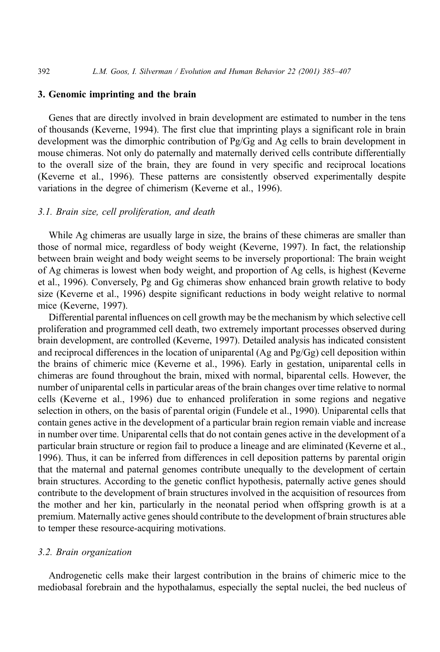## 3. Genomic imprinting and the brain

Genes that are directly involved in brain development are estimated to number in the tens of thousands (Keverne, 1994). The first clue that imprinting plays a significant role in brain development was the dimorphic contribution of Pg/Gg and Ag cells to brain development in mouse chimeras. Not only do paternally and maternally derived cells contribute differentially to the overall size of the brain, they are found in very specific and reciprocal locations (Keverne et al., 1996). These patterns are consistently observed experimentally despite variations in the degree of chimerism (Keverne et al., 1996).

#### 3.1. Brain size, cell proliferation, and death

While Ag chimeras are usually large in size, the brains of these chimeras are smaller than those of normal mice, regardless of body weight (Keverne, 1997). In fact, the relationship between brain weight and body weight seems to be inversely proportional: The brain weight of Ag chimeras is lowest when body weight, and proportion of Ag cells, is highest (Keverne et al., 1996). Conversely, Pg and Gg chimeras show enhanced brain growth relative to body size (Keverne et al., 1996) despite significant reductions in body weight relative to normal mice (Keverne, 1997).

Differential parental influences on cell growth may be the mechanism by which selective cell proliferation and programmed cell death, two extremely important processes observed during brain development, are controlled (Keverne, 1997). Detailed analysis has indicated consistent and reciprocal differences in the location of uniparental  $(Ag$  and  $Pg/Gg)$  cell deposition within the brains of chimeric mice (Keverne et al., 1996). Early in gestation, uniparental cells in chimeras are found throughout the brain, mixed with normal, biparental cells. However, the number of uniparental cells in particular areas of the brain changes over time relative to normal cells (Keverne et al., 1996) due to enhanced proliferation in some regions and negative selection in others, on the basis of parental origin (Fundele et al., 1990). Uniparental cells that contain genes active in the development of a particular brain region remain viable and increase in number over time. Uniparental cells that do not contain genes active in the development of a particular brain structure or region fail to produce a lineage and are eliminated (Keverne et al., 1996). Thus, it can be inferred from differences in cell deposition patterns by parental origin that the maternal and paternal genomes contribute unequally to the development of certain brain structures. According to the genetic conflict hypothesis, paternally active genes should contribute to the development of brain structures involved in the acquisition of resources from the mother and her kin, particularly in the neonatal period when offspring growth is at a premium. Maternally active genes should contribute to the development of brain structures able to temper these resource-acquiring motivations.

## 3.2. Brain organization

Androgenetic cells make their largest contribution in the brains of chimeric mice to the mediobasal forebrain and the hypothalamus, especially the septal nuclei, the bed nucleus of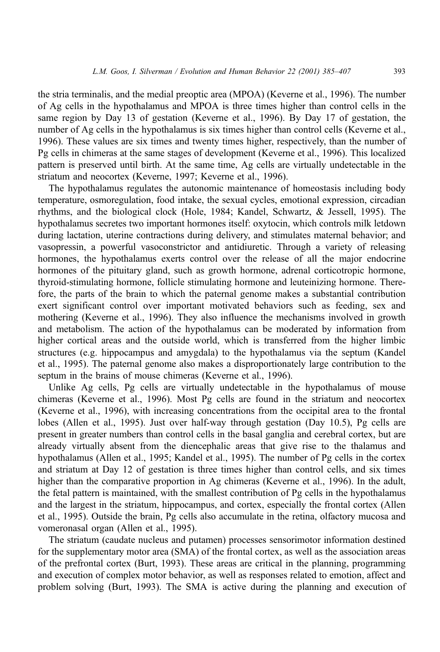the stria terminalis, and the medial preoptic area (MPOA) (Keverne et al., 1996). The number of Ag cells in the hypothalamus and MPOA is three times higher than control cells in the same region by Day 13 of gestation (Keverne et al., 1996). By Day 17 of gestation, the number of Ag cells in the hypothalamus is six times higher than control cells (Keverne et al., 1996). These values are six times and twenty times higher, respectively, than the number of Pg cells in chimeras at the same stages of development (Keverne et al., 1996). This localized pattern is preserved until birth. At the same time, Ag cells are virtually undetectable in the striatum and neocortex (Keverne, 1997; Keverne et al., 1996).

The hypothalamus regulates the autonomic maintenance of homeostasis including body temperature, osmoregulation, food intake, the sexual cycles, emotional expression, circadian rhythms, and the biological clock (Hole, 1984; Kandel, Schwartz, & Jessell, 1995). The hypothalamus secretes two important hormones itself: oxytocin, which controls milk letdown during lactation, uterine contractions during delivery, and stimulates maternal behavior; and vasopressin, a powerful vasoconstrictor and antidiuretic. Through a variety of releasing hormones, the hypothalamus exerts control over the release of all the major endocrine hormones of the pituitary gland, such as growth hormone, adrenal corticotropic hormone, thyroid-stimulating hormone, follicle stimulating hormone and leuteinizing hormone. Therefore, the parts of the brain to which the paternal genome makes a substantial contribution exert significant control over important motivated behaviors such as feeding, sex and mothering (Keverne et al., 1996). They also influence the mechanisms involved in growth and metabolism. The action of the hypothalamus can be moderated by information from higher cortical areas and the outside world, which is transferred from the higher limbic structures (e.g. hippocampus and amygdala) to the hypothalamus via the septum (Kandel et al., 1995). The paternal genome also makes a disproportionately large contribution to the septum in the brains of mouse chimeras (Keverne et al., 1996).

Unlike Ag cells, Pg cells are virtually undetectable in the hypothalamus of mouse chimeras (Keverne et al., 1996). Most Pg cells are found in the striatum and neocortex (Keverne et al., 1996), with increasing concentrations from the occipital area to the frontal lobes (Allen et al., 1995). Just over half-way through gestation (Day 10.5), Pg cells are present in greater numbers than control cells in the basal ganglia and cerebral cortex, but are already virtually absent from the diencephalic areas that give rise to the thalamus and hypothalamus (Allen et al., 1995; Kandel et al., 1995). The number of Pg cells in the cortex and striatum at Day 12 of gestation is three times higher than control cells, and six times higher than the comparative proportion in Ag chimeras (Keverne et al., 1996). In the adult, the fetal pattern is maintained, with the smallest contribution of Pg cells in the hypothalamus and the largest in the striatum, hippocampus, and cortex, especially the frontal cortex (Allen et al., 1995). Outside the brain, Pg cells also accumulate in the retina, olfactory mucosa and vomeronasal organ (Allen et al., 1995).

The striatum (caudate nucleus and putamen) processes sensorimotor information destined for the supplementary motor area (SMA) of the frontal cortex, as well as the association areas of the prefrontal cortex (Burt, 1993). These areas are critical in the planning, programming and execution of complex motor behavior, as well as responses related to emotion, affect and problem solving (Burt, 1993). The SMA is active during the planning and execution of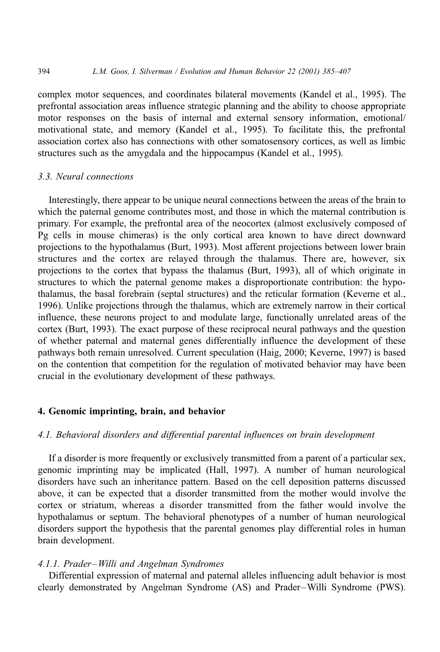complex motor sequences, and coordinates bilateral movements (Kandel et al., 1995). The prefrontal association areas influence strategic planning and the ability to choose appropriate motor responses on the basis of internal and external sensory information, emotional/ motivational state, and memory (Kandel et al., 1995). To facilitate this, the prefrontal association cortex also has connections with other somatosensory cortices, as well as limbic structures such as the amygdala and the hippocampus (Kandel et al., 1995).

# 3.3. Neural connections

Interestingly, there appear to be unique neural connections between the areas of the brain to which the paternal genome contributes most, and those in which the maternal contribution is primary. For example, the prefrontal area of the neocortex (almost exclusively composed of Pg cells in mouse chimeras) is the only cortical area known to have direct downward projections to the hypothalamus (Burt, 1993). Most afferent projections between lower brain structures and the cortex are relayed through the thalamus. There are, however, six projections to the cortex that bypass the thalamus (Burt, 1993), all of which originate in structures to which the paternal genome makes a disproportionate contribution: the hypothalamus, the basal forebrain (septal structures) and the reticular formation (Keverne et al., 1996). Unlike projections through the thalamus, which are extremely narrow in their cortical influence, these neurons project to and modulate large, functionally unrelated areas of the cortex (Burt, 1993). The exact purpose of these reciprocal neural pathways and the question of whether paternal and maternal genes differentially influence the development of these pathways both remain unresolved. Current speculation (Haig, 2000; Keverne, 1997) is based on the contention that competition for the regulation of motivated behavior may have been crucial in the evolutionary development of these pathways.

## 4. Genomic imprinting, brain, and behavior

## 4.1. Behavioral disorders and differential parental influences on brain development

If a disorder is more frequently or exclusively transmitted from a parent of a particular sex, genomic imprinting may be implicated (Hall, 1997). A number of human neurological disorders have such an inheritance pattern. Based on the cell deposition patterns discussed above, it can be expected that a disorder transmitted from the mother would involve the cortex or striatum, whereas a disorder transmitted from the father would involve the hypothalamus or septum. The behavioral phenotypes of a number of human neurological disorders support the hypothesis that the parental genomes play differential roles in human brain development.

## 4.1.1. Prader–Willi and Angelman Syndromes

Differential expression of maternal and paternal alleles influencing adult behavior is most clearly demonstrated by Angelman Syndrome (AS) and Prader–Willi Syndrome (PWS).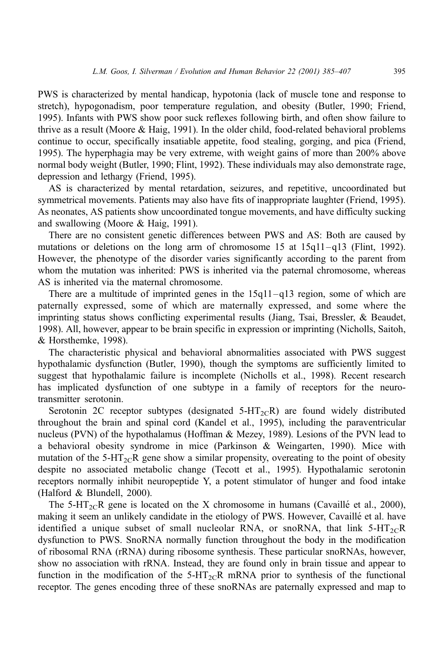PWS is characterized by mental handicap, hypotonia (lack of muscle tone and response to stretch), hypogonadism, poor temperature regulation, and obesity (Butler, 1990; Friend, 1995). Infants with PWS show poor suck reflexes following birth, and often show failure to thrive as a result (Moore & Haig, 1991). In the older child, food-related behavioral problems continue to occur, specifically insatiable appetite, food stealing, gorging, and pica (Friend, 1995). The hyperphagia may be very extreme, with weight gains of more than 200% above normal body weight (Butler, 1990; Flint, 1992). These individuals may also demonstrate rage, depression and lethargy (Friend, 1995).

AS is characterized by mental retardation, seizures, and repetitive, uncoordinated but symmetrical movements. Patients may also have fits of inappropriate laughter (Friend, 1995). As neonates, AS patients show uncoordinated tongue movements, and have difficulty sucking and swallowing (Moore & Haig, 1991).

There are no consistent genetic differences between PWS and AS: Both are caused by mutations or deletions on the long arm of chromosome 15 at 15q11–q13 (Flint, 1992). However, the phenotype of the disorder varies significantly according to the parent from whom the mutation was inherited: PWS is inherited via the paternal chromosome, whereas AS is inherited via the maternal chromosome.

There are a multitude of imprinted genes in the  $15q11-q13$  region, some of which are paternally expressed, some of which are maternally expressed, and some where the imprinting status shows conflicting experimental results (Jiang, Tsai, Bressler, & Beaudet, 1998). All, however, appear to be brain specific in expression or imprinting (Nicholls, Saitoh, & Horsthemke, 1998).

The characteristic physical and behavioral abnormalities associated with PWS suggest hypothalamic dysfunction (Butler, 1990), though the symptoms are sufficiently limited to suggest that hypothalamic failure is incomplete (Nicholls et al., 1998). Recent research has implicated dysfunction of one subtype in a family of receptors for the neurotransmitter serotonin.

Serotonin 2C receptor subtypes (designated  $5-HT_{2}CR$ ) are found widely distributed throughout the brain and spinal cord (Kandel et al., 1995), including the paraventricular nucleus (PVN) of the hypothalamus (Hoffman & Mezey, 1989). Lesions of the PVN lead to a behavioral obesity syndrome in mice (Parkinson & Weingarten, 1990). Mice with mutation of the 5-HT<sub>2C</sub>R gene show a similar propensity, overeating to the point of obesity despite no associated metabolic change (Tecott et al., 1995). Hypothalamic serotonin receptors normally inhibit neuropeptide Y, a potent stimulator of hunger and food intake (Halford & Blundell, 2000).

The 5-HT<sub>2C</sub>R gene is located on the X chromosome in humans (Cavaillé et al., 2000), making it seem an unlikely candidate in the etiology of PWS. However, Cavaillé et al. have identified a unique subset of small nucleolar RNA, or snoRNA, that link  $5-HT_{2C}R$ dysfunction to PWS. SnoRNA normally function throughout the body in the modification of ribosomal RNA (rRNA) during ribosome synthesis. These particular snoRNAs, however, show no association with rRNA. Instead, they are found only in brain tissue and appear to function in the modification of the  $5-HT_{2}CR$  mRNA prior to synthesis of the functional receptor. The genes encoding three of these snoRNAs are paternally expressed and map to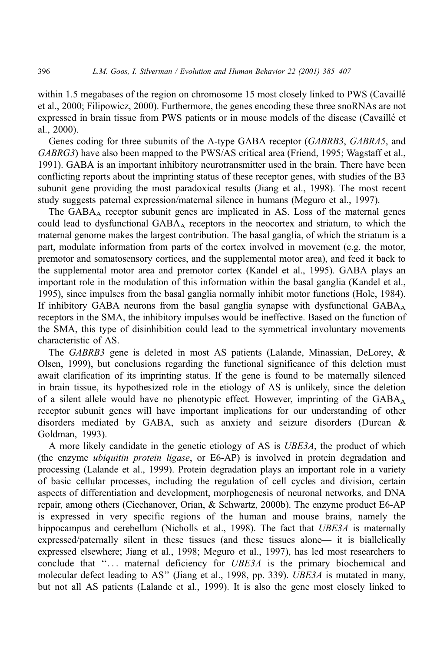within 1.5 megabases of the region on chromosome 15 most closely linked to PWS (Cavaillé) et al., 2000; Filipowicz, 2000). Furthermore, the genes encoding these three snoRNAs are not expressed in brain tissue from PWS patients or in mouse models of the disease (Cavaillé et al., 2000).

Genes coding for three subunits of the A-type GABA receptor (GABRB3, GABRA5, and GABRG3) have also been mapped to the PWS/AS critical area (Friend, 1995; Wagstaff et al., 1991). GABA is an important inhibitory neurotransmitter used in the brain. There have been conflicting reports about the imprinting status of these receptor genes, with studies of the B3 subunit gene providing the most paradoxical results (Jiang et al., 1998). The most recent study suggests paternal expression/maternal silence in humans (Meguro et al., 1997).

The GABAA receptor subunit genes are implicated in AS. Loss of the maternal genes could lead to dysfunctional  $GABA_A$  receptors in the neocortex and striatum, to which the maternal genome makes the largest contribution. The basal ganglia, of which the striatum is a part, modulate information from parts of the cortex involved in movement (e.g. the motor, premotor and somatosensory cortices, and the supplemental motor area), and feed it back to the supplemental motor area and premotor cortex (Kandel et al., 1995). GABA plays an important role in the modulation of this information within the basal ganglia (Kandel et al., 1995), since impulses from the basal ganglia normally inhibit motor functions (Hole, 1984). If inhibitory GABA neurons from the basal ganglia synapse with dysfunctional  $GABA_A$ receptors in the SMA, the inhibitory impulses would be ineffective. Based on the function of the SMA, this type of disinhibition could lead to the symmetrical involuntary movements characteristic of AS.

The GABRB3 gene is deleted in most AS patients (Lalande, Minassian, DeLorey, & Olsen, 1999), but conclusions regarding the functional significance of this deletion must await clarification of its imprinting status. If the gene is found to be maternally silenced in brain tissue, its hypothesized role in the etiology of AS is unlikely, since the deletion of a silent allele would have no phenotypic effect. However, imprinting of the GABA<sub>A</sub> receptor subunit genes will have important implications for our understanding of other disorders mediated by GABA, such as anxiety and seizure disorders (Durcan & Goldman, 1993).

A more likely candidate in the genetic etiology of AS is UBE3A, the product of which (the enzyme *ubiquitin protein ligase*, or E6-AP) is involved in protein degradation and processing (Lalande et al., 1999). Protein degradation plays an important role in a variety of basic cellular processes, including the regulation of cell cycles and division, certain aspects of differentiation and development, morphogenesis of neuronal networks, and DNA repair, among others (Ciechanover, Orian, & Schwartz, 2000b). The enzyme product E6-AP is expressed in very specific regions of the human and mouse brains, namely the hippocampus and cerebellum (Nicholls et al., 1998). The fact that UBE3A is maternally expressed/paternally silent in these tissues (and these tissues alone— it is biallelically expressed elsewhere; Jiang et al., 1998; Meguro et al., 1997), has led most researchers to conclude that " $\ldots$  maternal deficiency for UBE3A is the primary biochemical and molecular defect leading to AS" (Jiang et al., 1998, pp. 339). *UBE3A* is mutated in many, but not all AS patients (Lalande et al., 1999). It is also the gene most closely linked to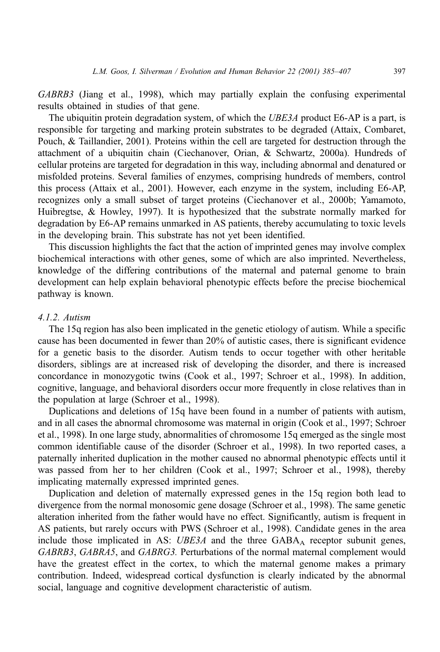GABRB3 (Jiang et al., 1998), which may partially explain the confusing experimental results obtained in studies of that gene.

The ubiquitin protein degradation system, of which the UBE3A product E6-AP is a part, is responsible for targeting and marking protein substrates to be degraded (Attaix, Combaret, Pouch, & Taillandier, 2001). Proteins within the cell are targeted for destruction through the attachment of a ubiquitin chain (Ciechanover, Orian, & Schwartz, 2000a). Hundreds of cellular proteins are targeted for degradation in this way, including abnormal and denatured or misfolded proteins. Several families of enzymes, comprising hundreds of members, control this process (Attaix et al., 2001). However, each enzyme in the system, including E6-AP, recognizes only a small subset of target proteins (Ciechanover et al., 2000b; Yamamoto, Huibregtse, & Howley, 1997). It is hypothesized that the substrate normally marked for degradation by E6-AP remains unmarked in AS patients, thereby accumulating to toxic levels in the developing brain. This substrate has not yet been identified.

This discussion highlights the fact that the action of imprinted genes may involve complex biochemical interactions with other genes, some of which are also imprinted. Nevertheless, knowledge of the differing contributions of the maternal and paternal genome to brain development can help explain behavioral phenotypic effects before the precise biochemical pathway is known.

## 4.1.2. Autism

The 15q region has also been implicated in the genetic etiology of autism. While a specific cause has been documented in fewer than 20% of autistic cases, there is significant evidence for a genetic basis to the disorder. Autism tends to occur together with other heritable disorders, siblings are at increased risk of developing the disorder, and there is increased concordance in monozygotic twins (Cook et al., 1997; Schroer et al., 1998). In addition, cognitive, language, and behavioral disorders occur more frequently in close relatives than in the population at large (Schroer et al., 1998).

Duplications and deletions of 15q have been found in a number of patients with autism, and in all cases the abnormal chromosome was maternal in origin (Cook et al., 1997; Schroer et al., 1998). In one large study, abnormalities of chromosome 15q emerged as the single most common identifiable cause of the disorder (Schroer et al., 1998). In two reported cases, a paternally inherited duplication in the mother caused no abnormal phenotypic effects until it was passed from her to her children (Cook et al., 1997; Schroer et al., 1998), thereby implicating maternally expressed imprinted genes.

Duplication and deletion of maternally expressed genes in the 15q region both lead to divergence from the normal monosomic gene dosage (Schroer et al., 1998). The same genetic alteration inherited from the father would have no effect. Significantly, autism is frequent in AS patients, but rarely occurs with PWS (Schroer et al., 1998). Candidate genes in the area include those implicated in AS:  $UBE3A$  and the three GABA<sub>A</sub> receptor subunit genes, GABRB3, GABRA5, and GABRG3. Perturbations of the normal maternal complement would have the greatest effect in the cortex, to which the maternal genome makes a primary contribution. Indeed, widespread cortical dysfunction is clearly indicated by the abnormal social, language and cognitive development characteristic of autism.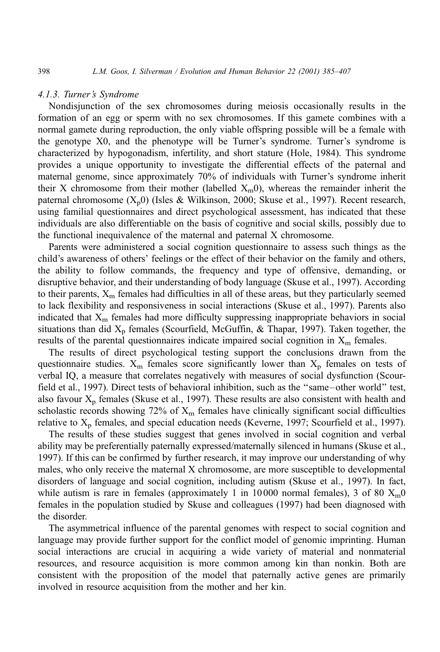## 4.1.3. Turner's Syndrome

Nondisjunction of the sex chromosomes during meiosis occasionally results in the formation of an egg or sperm with no sex chromosomes. If this gamete combines with a normal gamete during reproduction, the only viable offspring possible will be a female with the genotype X0, and the phenotype will be Turner's syndrome. Turner's syndrome is characterized by hypogonadism, infertility, and short stature (Hole, 1984). This syndrome provides a unique opportunity to investigate the differential effects of the paternal and maternal genome, since approximately 70% of individuals with Turner's syndrome inherit their X chromosome from their mother (labelled  $X_{m}$ 0), whereas the remainder inherit the paternal chromosome  $(X_p 0)$  (Isles & Wilkinson, 2000; Skuse et al., 1997). Recent research, using familial questionnaires and direct psychological assessment, has indicated that these individuals are also differentiable on the basis of cognitive and social skills, possibly due to the functional inequivalence of the maternal and paternal X chromosome.

Parents were administered a social cognition questionnaire to assess such things as the child's awareness of others' feelings or the effect of their behavior on the family and others, the ability to follow commands, the frequency and type of offensive, demanding, or disruptive behavior, and their understanding of body language (Skuse et al., 1997). According to their parents,  $X_m$  females had difficulties in all of these areas, but they particularly seemed to lack flexibility and responsiveness in social interactions (Skuse et al., 1997). Parents also indicated that  $X<sub>m</sub>$  females had more difficulty suppressing inappropriate behaviors in social situations than did  $X_p$  females (Scourfield, McGuffin, & Thapar, 1997). Taken together, the results of the parental questionnaires indicate impaired social cognition in  $X<sub>m</sub>$  females.

The results of direct psychological testing support the conclusions drawn from the questionnaire studies.  $X_m$  females score significantly lower than  $X_p$  females on tests of verbal IQ, a measure that correlates negatively with measures of social dysfunction (Scourfield et al., 1997). Direct tests of behavioral inhibition, such as the ''same–other world'' test, also favour  $X_p$  females (Skuse et al., 1997). These results are also consistent with health and scholastic records showing 72% of  $X<sub>m</sub>$  females have clinically significant social difficulties relative to  $X_p$  females, and special education needs (Keverne, 1997; Scourfield et al., 1997).

The results of these studies suggest that genes involved in social cognition and verbal ability may be preferentially paternally expressed/maternally silenced in humans (Skuse et al., 1997). If this can be confirmed by further research, it may improve our understanding of why males, who only receive the maternal X chromosome, are more susceptible to developmental disorders of language and social cognition, including autism (Skuse et al., 1997). In fact, while autism is rare in females (approximately 1 in 10000 normal females), 3 of 80  $X<sub>m</sub>0$ females in the population studied by Skuse and colleagues (1997) had been diagnosed with the disorder.

The asymmetrical influence of the parental genomes with respect to social cognition and language may provide further support for the conflict model of genomic imprinting. Human social interactions are crucial in acquiring a wide variety of material and nonmaterial resources, and resource acquisition is more common among kin than nonkin. Both are consistent with the proposition of the model that paternally active genes are primarily involved in resource acquisition from the mother and her kin.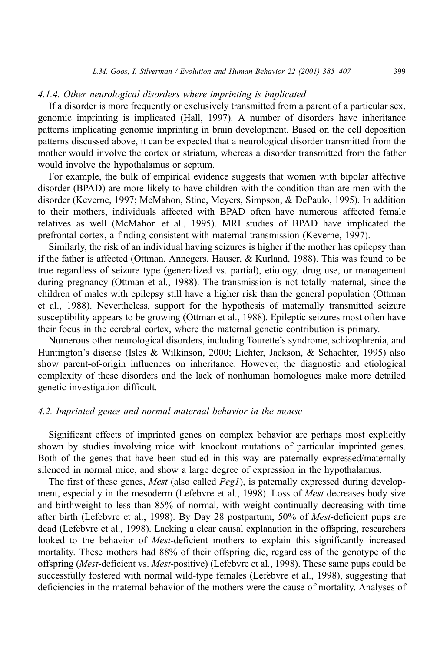#### 4.1.4. Other neurological disorders where imprinting is implicated

If a disorder is more frequently or exclusively transmitted from a parent of a particular sex, genomic imprinting is implicated (Hall, 1997). A number of disorders have inheritance patterns implicating genomic imprinting in brain development. Based on the cell deposition patterns discussed above, it can be expected that a neurological disorder transmitted from the mother would involve the cortex or striatum, whereas a disorder transmitted from the father would involve the hypothalamus or septum.

For example, the bulk of empirical evidence suggests that women with bipolar affective disorder (BPAD) are more likely to have children with the condition than are men with the disorder (Keverne, 1997; McMahon, Stinc, Meyers, Simpson, & DePaulo, 1995). In addition to their mothers, individuals affected with BPAD often have numerous affected female relatives as well (McMahon et al., 1995). MRI studies of BPAD have implicated the prefrontal cortex, a finding consistent with maternal transmission (Keverne, 1997).

Similarly, the risk of an individual having seizures is higher if the mother has epilepsy than if the father is affected (Ottman, Annegers, Hauser, & Kurland, 1988). This was found to be true regardless of seizure type (generalized vs. partial), etiology, drug use, or management during pregnancy (Ottman et al., 1988). The transmission is not totally maternal, since the children of males with epilepsy still have a higher risk than the general population (Ottman et al., 1988). Nevertheless, support for the hypothesis of maternally transmitted seizure susceptibility appears to be growing (Ottman et al., 1988). Epileptic seizures most often have their focus in the cerebral cortex, where the maternal genetic contribution is primary.

Numerous other neurological disorders, including Tourette's syndrome, schizophrenia, and Huntington's disease (Isles & Wilkinson, 2000; Lichter, Jackson, & Schachter, 1995) also show parent-of-origin influences on inheritance. However, the diagnostic and etiological complexity of these disorders and the lack of nonhuman homologues make more detailed genetic investigation difficult.

## 4.2. Imprinted genes and normal maternal behavior in the mouse

Significant effects of imprinted genes on complex behavior are perhaps most explicitly shown by studies involving mice with knockout mutations of particular imprinted genes. Both of the genes that have been studied in this way are paternally expressed/maternally silenced in normal mice, and show a large degree of expression in the hypothalamus.

The first of these genes, Mest (also called Peg1), is paternally expressed during development, especially in the mesoderm (Lefebvre et al., 1998). Loss of *Mest* decreases body size and birthweight to less than 85% of normal, with weight continually decreasing with time after birth (Lefebvre et al., 1998). By Day 28 postpartum, 50% of Mest-deficient pups are dead (Lefebvre et al., 1998). Lacking a clear causal explanation in the offspring, researchers looked to the behavior of *Mest*-deficient mothers to explain this significantly increased mortality. These mothers had 88% of their offspring die, regardless of the genotype of the offspring (*Mest*-deficient vs. *Mest*-positive) (Lefebvre et al., 1998). These same pups could be successfully fostered with normal wild-type females (Lefebvre et al., 1998), suggesting that deficiencies in the maternal behavior of the mothers were the cause of mortality. Analyses of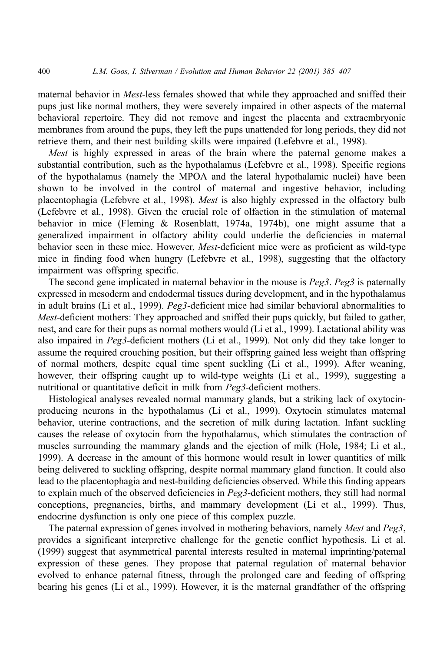maternal behavior in Mest-less females showed that while they approached and sniffed their pups just like normal mothers, they were severely impaired in other aspects of the maternal behavioral repertoire. They did not remove and ingest the placenta and extraembryonic membranes from around the pups, they left the pups unattended for long periods, they did not retrieve them, and their nest building skills were impaired (Lefebvre et al., 1998).

Mest is highly expressed in areas of the brain where the paternal genome makes a substantial contribution, such as the hypothalamus (Lefebvre et al., 1998). Specific regions of the hypothalamus (namely the MPOA and the lateral hypothalamic nuclei) have been shown to be involved in the control of maternal and ingestive behavior, including placentophagia (Lefebvre et al., 1998). Mest is also highly expressed in the olfactory bulb (Lefebvre et al., 1998). Given the crucial role of olfaction in the stimulation of maternal behavior in mice (Fleming & Rosenblatt, 1974a, 1974b), one might assume that a generalized impairment in olfactory ability could underlie the deficiencies in maternal behavior seen in these mice. However, *Mest*-deficient mice were as proficient as wild-type mice in finding food when hungry (Lefebvre et al., 1998), suggesting that the olfactory impairment was offspring specific.

The second gene implicated in maternal behavior in the mouse is Peg3. Peg3 is paternally expressed in mesoderm and endodermal tissues during development, and in the hypothalamus in adult brains (Li et al., 1999). Peg3-deficient mice had similar behavioral abnormalities to Mest-deficient mothers: They approached and sniffed their pups quickly, but failed to gather, nest, and care for their pups as normal mothers would (Li et al., 1999). Lactational ability was also impaired in Peg3-deficient mothers (Li et al., 1999). Not only did they take longer to assume the required crouching position, but their offspring gained less weight than offspring of normal mothers, despite equal time spent suckling (Li et al., 1999). After weaning, however, their offspring caught up to wild-type weights (Li et al., 1999), suggesting a nutritional or quantitative deficit in milk from Peg3-deficient mothers.

Histological analyses revealed normal mammary glands, but a striking lack of oxytocinproducing neurons in the hypothalamus (Li et al., 1999). Oxytocin stimulates maternal behavior, uterine contractions, and the secretion of milk during lactation. Infant suckling causes the release of oxytocin from the hypothalamus, which stimulates the contraction of muscles surrounding the mammary glands and the ejection of milk (Hole, 1984; Li et al., 1999). A decrease in the amount of this hormone would result in lower quantities of milk being delivered to suckling offspring, despite normal mammary gland function. It could also lead to the placentophagia and nest-building deficiencies observed. While this finding appears to explain much of the observed deficiencies in Peg3-deficient mothers, they still had normal conceptions, pregnancies, births, and mammary development (Li et al., 1999). Thus, endocrine dysfunction is only one piece of this complex puzzle.

The paternal expression of genes involved in mothering behaviors, namely *Mest* and *Peg3*, provides a significant interpretive challenge for the genetic conflict hypothesis. Li et al. (1999) suggest that asymmetrical parental interests resulted in maternal imprinting/paternal expression of these genes. They propose that paternal regulation of maternal behavior evolved to enhance paternal fitness, through the prolonged care and feeding of offspring bearing his genes (Li et al., 1999). However, it is the maternal grandfather of the offspring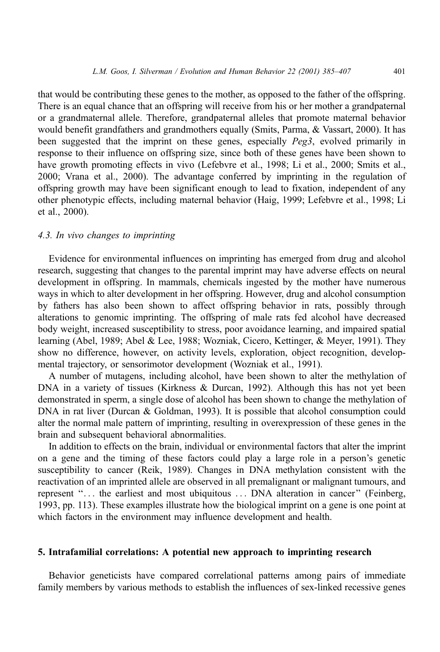that would be contributing these genes to the mother, as opposed to the father of the offspring. There is an equal chance that an offspring will receive from his or her mother a grandpaternal or a grandmaternal allele. Therefore, grandpaternal alleles that promote maternal behavior would benefit grandfathers and grandmothers equally (Smits, Parma, & Vassart, 2000). It has been suggested that the imprint on these genes, especially *Peg3*, evolved primarily in response to their influence on offspring size, since both of these genes have been shown to have growth promoting effects in vivo (Lefebvre et al., 1998; Li et al., 2000; Smits et al., 2000; Vrana et al., 2000). The advantage conferred by imprinting in the regulation of offspring growth may have been significant enough to lead to fixation, independent of any other phenotypic effects, including maternal behavior (Haig, 1999; Lefebvre et al., 1998; Li et al., 2000).

## 4.3. In vivo changes to imprinting

Evidence for environmental influences on imprinting has emerged from drug and alcohol research, suggesting that changes to the parental imprint may have adverse effects on neural development in offspring. In mammals, chemicals ingested by the mother have numerous ways in which to alter development in her offspring. However, drug and alcohol consumption by fathers has also been shown to affect offspring behavior in rats, possibly through alterations to genomic imprinting. The offspring of male rats fed alcohol have decreased body weight, increased susceptibility to stress, poor avoidance learning, and impaired spatial learning (Abel, 1989; Abel & Lee, 1988; Wozniak, Cicero, Kettinger, & Meyer, 1991). They show no difference, however, on activity levels, exploration, object recognition, developmental trajectory, or sensorimotor development (Wozniak et al., 1991).

A number of mutagens, including alcohol, have been shown to alter the methylation of DNA in a variety of tissues (Kirkness & Durcan, 1992). Although this has not yet been demonstrated in sperm, a single dose of alcohol has been shown to change the methylation of DNA in rat liver (Durcan & Goldman, 1993). It is possible that alcohol consumption could alter the normal male pattern of imprinting, resulting in overexpression of these genes in the brain and subsequent behavioral abnormalities.

In addition to effects on the brain, individual or environmental factors that alter the imprint on a gene and the timing of these factors could play a large role in a person's genetic susceptibility to cancer (Reik, 1989). Changes in DNA methylation consistent with the reactivation of an imprinted allele are observed in all premalignant or malignant tumours, and represent ''... the earliest and most ubiquitous ... DNA alteration in cancer'' (Feinberg, 1993, pp. 113). These examples illustrate how the biological imprint on a gene is one point at which factors in the environment may influence development and health.

#### 5. Intrafamilial correlations: A potential new approach to imprinting research

Behavior geneticists have compared correlational patterns among pairs of immediate family members by various methods to establish the influences of sex-linked recessive genes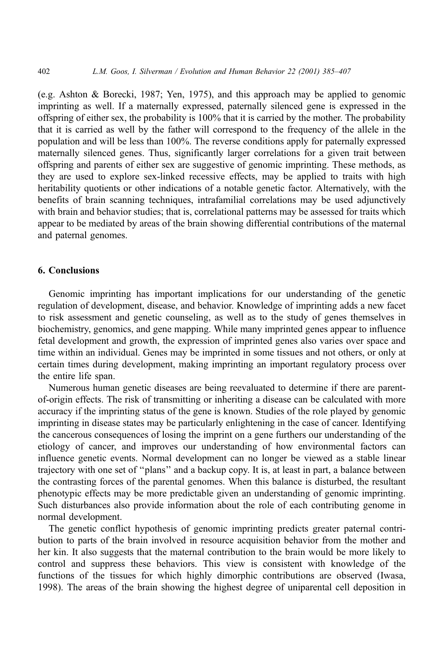(e.g. Ashton & Borecki, 1987; Yen, 1975), and this approach may be applied to genomic imprinting as well. If a maternally expressed, paternally silenced gene is expressed in the offspring of either sex, the probability is 100% that it is carried by the mother. The probability that it is carried as well by the father will correspond to the frequency of the allele in the population and will be less than 100%. The reverse conditions apply for paternally expressed maternally silenced genes. Thus, significantly larger correlations for a given trait between offspring and parents of either sex are suggestive of genomic imprinting. These methods, as they are used to explore sex-linked recessive effects, may be applied to traits with high heritability quotients or other indications of a notable genetic factor. Alternatively, with the benefits of brain scanning techniques, intrafamilial correlations may be used adjunctively with brain and behavior studies; that is, correlational patterns may be assessed for traits which appear to be mediated by areas of the brain showing differential contributions of the maternal and paternal genomes.

# 6. Conclusions

Genomic imprinting has important implications for our understanding of the genetic regulation of development, disease, and behavior. Knowledge of imprinting adds a new facet to risk assessment and genetic counseling, as well as to the study of genes themselves in biochemistry, genomics, and gene mapping. While many imprinted genes appear to influence fetal development and growth, the expression of imprinted genes also varies over space and time within an individual. Genes may be imprinted in some tissues and not others, or only at certain times during development, making imprinting an important regulatory process over the entire life span.

Numerous human genetic diseases are being reevaluated to determine if there are parentof-origin effects. The risk of transmitting or inheriting a disease can be calculated with more accuracy if the imprinting status of the gene is known. Studies of the role played by genomic imprinting in disease states may be particularly enlightening in the case of cancer. Identifying the cancerous consequences of losing the imprint on a gene furthers our understanding of the etiology of cancer, and improves our understanding of how environmental factors can influence genetic events. Normal development can no longer be viewed as a stable linear trajectory with one set of ''plans'' and a backup copy. It is, at least in part, a balance between the contrasting forces of the parental genomes. When this balance is disturbed, the resultant phenotypic effects may be more predictable given an understanding of genomic imprinting. Such disturbances also provide information about the role of each contributing genome in normal development.

The genetic conflict hypothesis of genomic imprinting predicts greater paternal contribution to parts of the brain involved in resource acquisition behavior from the mother and her kin. It also suggests that the maternal contribution to the brain would be more likely to control and suppress these behaviors. This view is consistent with knowledge of the functions of the tissues for which highly dimorphic contributions are observed (Iwasa, 1998). The areas of the brain showing the highest degree of uniparental cell deposition in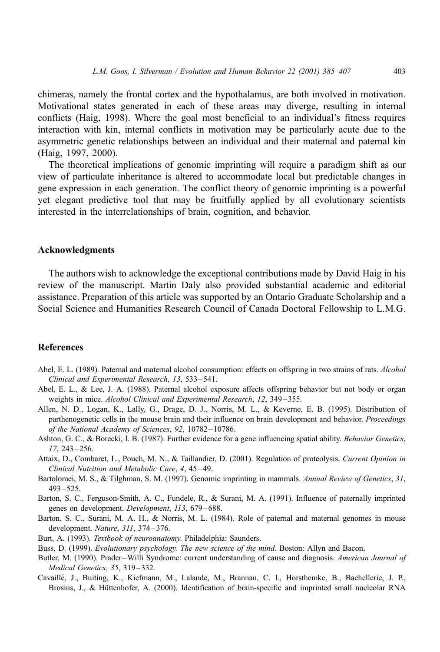chimeras, namely the frontal cortex and the hypothalamus, are both involved in motivation. Motivational states generated in each of these areas may diverge, resulting in internal conflicts (Haig, 1998). Where the goal most beneficial to an individual's fitness requires interaction with kin, internal conflicts in motivation may be particularly acute due to the asymmetric genetic relationships between an individual and their maternal and paternal kin (Haig, 1997, 2000).

The theoretical implications of genomic imprinting will require a paradigm shift as our view of particulate inheritance is altered to accommodate local but predictable changes in gene expression in each generation. The conflict theory of genomic imprinting is a powerful yet elegant predictive tool that may be fruitfully applied by all evolutionary scientists interested in the interrelationships of brain, cognition, and behavior.

## Acknowledgments

The authors wish to acknowledge the exceptional contributions made by David Haig in his review of the manuscript. Martin Daly also provided substantial academic and editorial assistance. Preparation of this article was supported by an Ontario Graduate Scholarship and a Social Science and Humanities Research Council of Canada Doctoral Fellowship to L.M.G.

## References

- Abel, E. L. (1989). Paternal and maternal alcohol consumption: effects on offspring in two strains of rats. Alcohol Clinical and Experimental Research, 13, 533 – 541.
- Abel, E. L., & Lee, J. A. (1988). Paternal alcohol exposure affects offspring behavior but not body or organ weights in mice. Alcohol Clinical and Experimental Research, 12, 349-355.
- Allen, N. D., Logan, K., Lally, G., Drage, D. J., Norris, M. L., & Keverne, E. B. (1995). Distribution of parthenogenetic cells in the mouse brain and their influence on brain development and behavior. Proceedings of the National Academy of Sciences, 92, 10782 – 10786.
- Ashton, G. C., & Borecki, I. B. (1987). Further evidence for a gene influencing spatial ability. Behavior Genetics, 17, 243 – 256.
- Attaix, D., Combaret, L., Pouch, M. N., & Taillandier, D. (2001). Regulation of proteolysis. Current Opinion in Clinical Nutrition and Metabolic Care, 4, 45 – 49.
- Bartolomei, M. S., & Tilghman, S. M. (1997). Genomic imprinting in mammals. Annual Review of Genetics, 31,  $493 - 525$ .
- Barton, S. C., Ferguson-Smith, A. C., Fundele, R., & Surani, M. A. (1991). Influence of paternally imprinted genes on development. Development, 113, 679-688.
- Barton, S. C., Surani, M. A. H., & Norris, M. L. (1984). Role of paternal and maternal genomes in mouse development. Nature, 311, 374 – 376.
- Burt, A. (1993). Textbook of neuroanatomy. Philadelphia: Saunders.
- Buss, D. (1999). Evolutionary psychology. The new science of the mind. Boston: Allyn and Bacon.
- Butler, M. (1990). Prader-Willi Syndrome: current understanding of cause and diagnosis. American Journal of Medical Genetics, 35, 319 – 332.
- Cavaille´, J., Buiting, K., Kiefmann, M., Lalande, M., Brannan, C. I., Horsthemke, B., Bachellerie, J. P., Brosius, J., & Hüttenhofer, A. (2000). Identification of brain-specific and imprinted small nucleolar RNA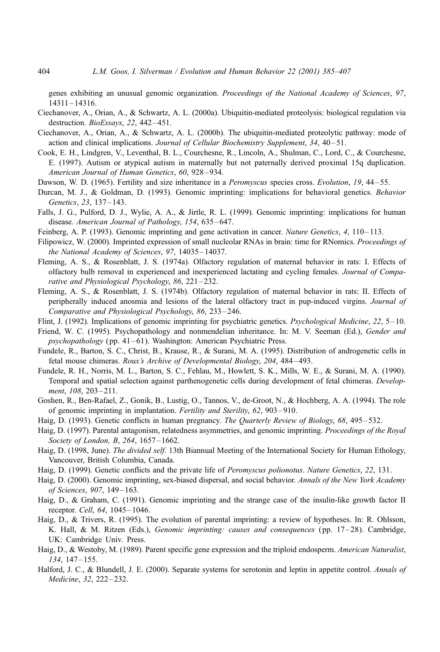genes exhibiting an unusual genomic organization. Proceedings of the National Academy of Sciences, 97, 14311 – 14316.

- Ciechanover, A., Orian, A., & Schwartz, A. L. (2000a). Ubiquitin-mediated proteolysis: biological regulation via destruction. BioEssays, 22, 442-451.
- Ciechanover, A., Orian, A., & Schwartz, A. L. (2000b). The ubiquitin-mediated proteolytic pathway: mode of action and clinical implications. Journal of Cellular Biochemistry Supplement, 34, 40-51.
- Cook, E. H., Lindgren, V., Leventhal, B. L., Courchesne, R., Lincoln, A., Shulman, C., Lord, C., & Courchesne, E. (1997). Autism or atypical autism in maternally but not paternally derived proximal 15q duplication. American Journal of Human Genetics, 60, 928-934.
- Dawson, W. D. (1965). Fertility and size inheritance in a *Peromyscus* species cross. *Evolution*, 19, 44–55.
- Durcan, M. J., & Goldman, D. (1993). Genomic imprinting: implications for behavioral genetics. Behavior Genetics, 23, 137-143.
- Falls, J. G., Pulford, D. J., Wylie, A. A., & Jirtle, R. L. (1999). Genomic imprinting: implications for human disease. American Journal of Pathology, 154, 635–647.
- Feinberg, A. P. (1993). Genomic imprinting and gene activation in cancer. Nature Genetics, 4, 110–113.
- Filipowicz, W. (2000). Imprinted expression of small nucleolar RNAs in brain: time for RNomics. Proceedings of the National Academy of Sciences, 97, 14035 – 14037.
- Fleming, A. S., & Rosenblatt, J. S. (1974a). Olfactory regulation of maternal behavior in rats: I. Effects of olfactory bulb removal in experienced and inexperienced lactating and cycling females. Journal of Comparative and Physiological Psychology, 86, 221-232.
- Fleming, A. S., & Rosenblatt, J. S. (1974b). Olfactory regulation of maternal behavior in rats: II. Effects of peripherally induced anosmia and lesions of the lateral olfactory tract in pup-induced virgins. Journal of Comparative and Physiological Psychology, 86, 233 – 246.
- Flint, J. (1992). Implications of genomic imprinting for psychiatric genetics. Psychological Medicine, 22, 5-10.
- Friend, W. C. (1995). Psychopathology and nonmendelian inheritance. In: M. V. Seeman (Ed.), Gender and psychopathology (pp. 41-61). Washington: American Psychiatric Press.
- Fundele, R., Barton, S. C., Christ, B., Krause, R., & Surani, M. A. (1995). Distribution of androgenetic cells in fetal mouse chimeras. Roux's Archive of Developmental Biology, 204, 484 – 493.
- Fundele, R. H., Norris, M. L., Barton, S. C., Fehlau, M., Howlett, S. K., Mills, W. E., & Surani, M. A. (1990). Temporal and spatial selection against parthenogenetic cells during development of fetal chimeras. Development, 108, 203-211.
- Goshen, R., Ben-Rafael, Z., Gonik, B., Lustig, O., Tannos, V., de-Groot, N., & Hochberg, A. A. (1994). The role of genomic imprinting in implantation. Fertility and Sterility,  $62$ ,  $903 - 910$ .
- Haig, D. (1993). Genetic conflicts in human pregnancy. The Quarterly Review of Biology, 68, 495–532.
- Haig, D. (1997). Parental antagonism, relatedness asymmetries, and genomic imprinting. Proceedings of the Royal Society of London, B, 264, 1657-1662.
- Haig, D. (1998, June). *The divided self.* 13th Biannual Meeting of the International Society for Human Ethology, Vancouver, British Columbia, Canada.
- Haig, D. (1999). Genetic conflicts and the private life of Peromyscus polionotus. Nature Genetics, 22, 131.
- Haig, D. (2000). Genomic imprinting, sex-biased dispersal, and social behavior. Annals of the New York Academy of Sciences, 907, 149 – 163.
- Haig, D., & Graham, C. (1991). Genomic imprinting and the strange case of the insulin-like growth factor II receptor. Cell, 64, 1045 – 1046.
- Haig, D., & Trivers, R. (1995). The evolution of parental imprinting: a review of hypotheses. In: R. Ohlsson, K. Hall, & M. Ritzen (Eds.), *Genomic imprinting: causes and consequences* (pp. 17–28). Cambridge, UK: Cambridge Univ. Press.
- Haig, D., & Westoby, M. (1989). Parent specific gene expression and the triploid endosperm. American Naturalist,  $134, 147 - 155.$
- Halford, J. C., & Blundell, J. E. (2000). Separate systems for serotonin and leptin in appetite control. Annals of Medicine, 32, 222-232.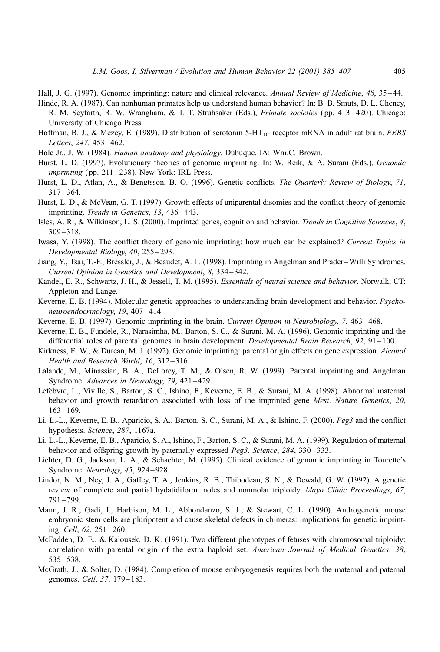- Hall, J. G. (1997). Genomic imprinting: nature and clinical relevance. Annual Review of Medicine, 48, 35–44.
- Hinde, R. A. (1987). Can nonhuman primates help us understand human behavior? In: B. B. Smuts, D. L. Cheney, R. M. Seyfarth, R. W. Wrangham, & T. T. Struhsaker (Eds.), Primate societies ( pp. 413 – 420). Chicago: University of Chicago Press.
- Hoffman, B. J., & Mezey, E. (1989). Distribution of serotonin 5-HT<sub>1C</sub> receptor mRNA in adult rat brain. *FEBS* Letters, 247, 453-462.
- Hole Jr., J. W. (1984). Human anatomy and physiology. Dubuque, IA: Wm.C. Brown.
- Hurst, L. D. (1997). Evolutionary theories of genomic imprinting. In: W. Reik, & A. Surani (Eds.), *Genomic* imprinting (pp. 211-238). New York: IRL Press.
- Hurst, L. D., Atlan, A., & Bengtsson, B. O. (1996). Genetic conflicts. The Quarterly Review of Biology, 71,  $317 - 364.$
- Hurst, L. D., & McVean, G. T. (1997). Growth effects of uniparental disomies and the conflict theory of genomic imprinting. Trends in Genetics, 13, 436-443.
- Isles, A. R., & Wilkinson, L. S. (2000). Imprinted genes, cognition and behavior. Trends in Cognitive Sciences, 4,  $309 - 318.$
- Iwasa, Y. (1998). The conflict theory of genomic imprinting: how much can be explained? Current Topics in Developmental Biology, 40, 255 – 293.
- Jiang, Y., Tsai, T.-F., Bressler, J., & Beaudet, A. L. (1998). Imprinting in Angelman and Prader –Willi Syndromes. Current Opinion in Genetics and Development, 8, 334 – 342.
- Kandel, E. R., Schwartz, J. H., & Jessell, T. M. (1995). Essentials of neural science and behavior. Norwalk, CT: Appleton and Lange.
- Keverne, E. B. (1994). Molecular genetic approaches to understanding brain development and behavior. Psychoneuroendocrinology, 19, 407 – 414.
- Keverne, E. B. (1997). Genomic imprinting in the brain. Current Opinion in Neurobiology, 7, 463–468.
- Keverne, E. B., Fundele, R., Narasimha, M., Barton, S. C., & Surani, M. A. (1996). Genomic imprinting and the differential roles of parental genomes in brain development. Developmental Brain Research, 92, 91-100.
- Kirkness, E. W., & Durcan, M. J. (1992). Genomic imprinting: parental origin effects on gene expression. Alcohol Health and Research World, 16, 312–316.
- Lalande, M., Minassian, B. A., DeLorey, T. M., & Olsen, R. W. (1999). Parental imprinting and Angelman Syndrome. Advances in Neurology, 79, 421-429.
- Lefebvre, L., Viville, S., Barton, S. C., Ishino, F., Keverne, E. B., & Surani, M. A. (1998). Abnormal maternal behavior and growth retardation associated with loss of the imprinted gene Mest. Nature Genetics, 20,  $163 - 169$ .
- Li, L.-L., Keverne, E. B., Aparicio, S. A., Barton, S. C., Surani, M. A., & Ishino, F. (2000). Peg3 and the conflict hypothesis. Science, 287, 1167a.
- Li, L.-L., Keverne, E. B., Aparicio, S. A., Ishino, F., Barton, S. C., & Surani, M. A. (1999). Regulation of maternal behavior and offspring growth by paternally expressed Peg3. Science, 284, 330-333.
- Lichter, D. G., Jackson, L. A., & Schachter, M. (1995). Clinical evidence of genomic imprinting in Tourette's Syndrome. Neurology, 45, 924 – 928.
- Lindor, N. M., Ney, J. A., Gaffey, T. A., Jenkins, R. B., Thibodeau, S. N., & Dewald, G. W. (1992). A genetic review of complete and partial hydatidiform moles and nonmolar triploidy. Mayo Clinic Proceedings, 67, 791 – 799.
- Mann, J. R., Gadi, I., Harbison, M. L., Abbondanzo, S. J., & Stewart, C. L. (1990). Androgenetic mouse embryonic stem cells are pluripotent and cause skeletal defects in chimeras: implications for genetic imprinting. Cell,  $62$ ,  $251 - 260$ .
- McFadden, D. E., & Kalousek, D. K. (1991). Two different phenotypes of fetuses with chromosomal triploidy: correlation with parental origin of the extra haploid set. American Journal of Medical Genetics, 38,  $535 - 538.$
- McGrath, J., & Solter, D. (1984). Completion of mouse embryogenesis requires both the maternal and paternal genomes. Cell, 37, 179-183.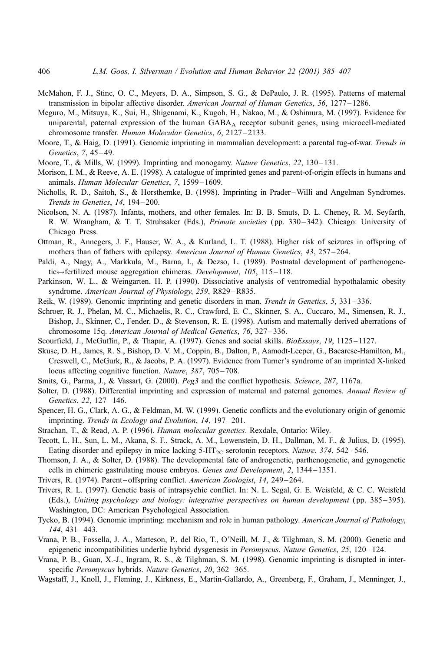- McMahon, F. J., Stinc, O. C., Meyers, D. A., Simpson, S. G., & DePaulo, J. R. (1995). Patterns of maternal transmission in bipolar affective disorder. American Journal of Human Genetics, 56, 1277 – 1286.
- Meguro, M., Mitsuya, K., Sui, H., Shigenami, K., Kugoh, H., Nakao, M., & Oshimura, M. (1997). Evidence for uniparental, paternal expression of the human GABA<sub>A</sub> receptor subunit genes, using microcell-mediated chromosome transfer. Human Molecular Genetics, 6, 2127 – 2133.
- Moore, T., & Haig, D. (1991). Genomic imprinting in mammalian development: a parental tug-of-war. Trends in Genetics, 7, 45 – 49.
- Moore, T., & Mills, W. (1999). Imprinting and monogamy. *Nature Genetics*, 22, 130–131.
- Morison, I. M., & Reeve, A. E. (1998). A catalogue of imprinted genes and parent-of-origin effects in humans and animals. Human Molecular Genetics, 7, 1599 – 1609.
- Nicholls, R. D., Saitoh, S., & Horsthemke, B. (1998). Imprinting in Prader –Willi and Angelman Syndromes. Trends in Genetics, 14, 194-200.
- Nicolson, N. A. (1987). Infants, mothers, and other females. In: B. B. Smuts, D. L. Cheney, R. M. Seyfarth, R. W. Wrangham, & T. T. Struhsaker (Eds.), Primate societies (pp. 330-342). Chicago: University of Chicago Press.
- Ottman, R., Annegers, J. F., Hauser, W. A., & Kurland, L. T. (1988). Higher risk of seizures in offspring of mothers than of fathers with epilepsy. American Journal of Human Genetics, 43, 257–264.
- Paldi, A., Nagy, A., Markkula, M., Barna, I., & Dezso, L. (1989). Postnatal development of parthenogenetic $\leftrightarrow$ fertilized mouse aggregation chimeras. Development, 105, 115 – 118.
- Parkinson, W. L., & Weingarten, H. P. (1990). Dissociative analysis of ventromedial hypothalamic obesity syndrome. American Journal of Physiology, 259, R829-R835.
- Reik, W. (1989). Genomic imprinting and genetic disorders in man. *Trends in Genetics*, 5, 331–336.
- Schroer, R. J., Phelan, M. C., Michaelis, R. C., Crawford, E. C., Skinner, S. A., Cuccaro, M., Simensen, R. J., Bishop, J., Skinner, C., Fender, D., & Stevenson, R. E. (1998). Autism and maternally derived aberrations of chromosome 15q. American Journal of Medical Genetics, 76, 327 – 336.
- Scourfield, J., McGuffin, P., & Thapar, A. (1997). Genes and social skills. BioEssays, 19, 1125-1127.
- Skuse, D. H., James, R. S., Bishop, D. V. M., Coppin, B., Dalton, P., Aamodt-Leeper, G., Bacarese-Hamilton, M., Creswell, C., McGurk, R., & Jacobs, P. A. (1997). Evidence from Turner's syndrome of an imprinted X-linked locus affecting cognitive function. Nature, 387, 705-708.
- Smits, G., Parma, J., & Vassart, G. (2000). Peg3 and the conflict hypothesis. Science, 287, 1167a.
- Solter, D. (1988). Differential imprinting and expression of maternal and paternal genomes. Annual Review of Genetics, 22, 127-146.
- Spencer, H. G., Clark, A. G., & Feldman, M. W. (1999). Genetic conflicts and the evolutionary origin of genomic imprinting. Trends in Ecology and Evolution, 14, 197-201.
- Strachan, T., & Read, A. P. (1996). Human molecular genetics. Rexdale, Ontario: Wiley.
- Tecott, L. H., Sun, L. M., Akana, S. F., Strack, A. M., Lowenstein, D. H., Dallman, M. F., & Julius, D. (1995). Eating disorder and epilepsy in mice lacking  $5-HT_{2C}$  serotonin receptors. *Nature*,  $374$ ,  $542-546$ .
- Thomson, J. A., & Solter, D. (1988). The developmental fate of androgenetic, parthenogenetic, and gynogenetic cells in chimeric gastrulating mouse embryos. Genes and Development, 2, 1344 – 1351.
- Trivers, R. (1974). Parent-offspring conflict. American Zoologist, 14, 249-264.
- Trivers, R. L. (1997). Genetic basis of intrapsychic conflict. In: N. L. Segal, G. E. Weisfeld, & C. C. Weisfeld (Eds.), Uniting psychology and biology: integrative perspectives on human development (pp. 385–395). Washington, DC: American Psychological Association.
- Tycko, B. (1994). Genomic imprinting: mechanism and role in human pathology. American Journal of Pathology, 144, 431 – 443.
- Vrana, P. B., Fossella, J. A., Matteson, P., del Rio, T., O'Neill, M. J., & Tilghman, S. M. (2000). Genetic and epigenetic incompatibilities underlie hybrid dysgenesis in Peromyscus. Nature Genetics, 25, 120-124.
- Vrana, P. B., Guan, X.-J., Ingram, R. S., & Tilghman, S. M. (1998). Genomic imprinting is disrupted in interspecific Peromyscus hybrids. Nature Genetics, 20, 362-365.
- Wagstaff, J., Knoll, J., Fleming, J., Kirkness, E., Martin-Gallardo, A., Greenberg, F., Graham, J., Menninger, J.,